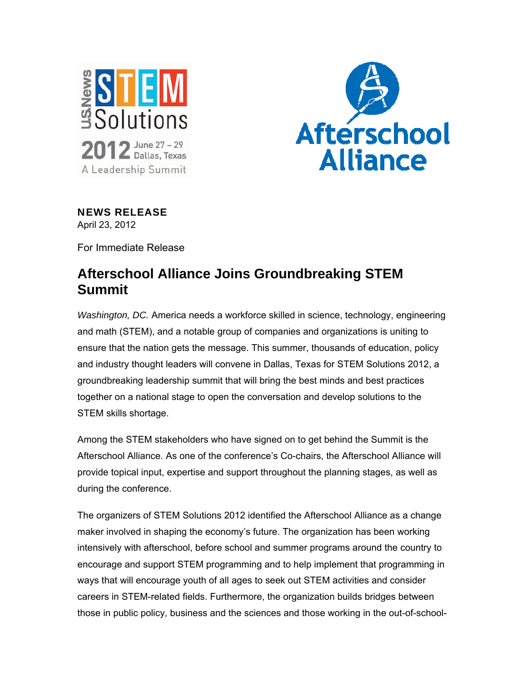



NEWS RELEASE April 23, 2012

For Immediate Release

## **Afterschool Alliance Joins Groundbreaking STEM Summit**

*Washington, DC.* America needs a workforce skilled in science, technology, engineering and math (STEM), and a notable group of companies and organizations is uniting to ensure that the nation gets the message. This summer, thousands of education, policy and industry thought leaders will convene in Dallas, Texas for STEM Solutions 2012, a groundbreaking leadership summit that will bring the best minds and best practices together on a national stage to open the conversation and develop solutions to the STEM skills shortage.

Among the STEM stakeholders who have signed on to get behind the Summit is the Afterschool Alliance*.* As one of the conference's Co-chairs, the Afterschool Alliance will provide topical input, expertise and support throughout the planning stages, as well as during the conference.

The organizers of STEM Solutions 2012 identified the Afterschool Alliance as a change maker involved in shaping the economy's future. The organization has been working intensively with afterschool, before school and summer programs around the country to encourage and support STEM programming and to help implement that programming in ways that will encourage youth of all ages to seek out STEM activities and consider careers in STEM-related fields. Furthermore, the organization builds bridges between those in public policy, business and the sciences and those working in the out-of-school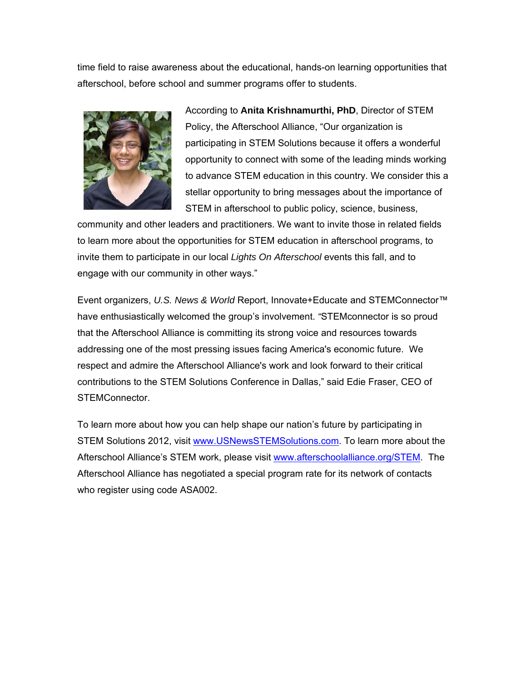time field to raise awareness about the educational, hands-on learning opportunities that afterschool, before school and summer programs offer to students.



According to **Anita Krishnamurthi, PhD**, Director of STEM Policy, the Afterschool Alliance, "Our organization is participating in STEM Solutions because it offers a wonderful opportunity to connect with some of the leading minds working to advance STEM education in this country. We consider this a stellar opportunity to bring messages about the importance of STEM in afterschool to public policy, science, business,

community and other leaders and practitioners. We want to invite those in related fields to learn more about the opportunities for STEM education in afterschool programs, to invite them to participate in our local *Lights On Afterschool* events this fall, and to engage with our community in other ways."

Event organizers, *U.S. News & World* Report, Innovate+Educate and STEMConnector™ have enthusiastically welcomed the group's involvement. *"*STEMconnector is so proud that the Afterschool Alliance is committing its strong voice and resources towards addressing one of the most pressing issues facing America's economic future. We respect and admire the Afterschool Alliance's work and look forward to their critical contributions to the STEM Solutions Conference in Dallas," said Edie Fraser, CEO of STEMConnector.

To learn more about how you can help shape our nation's future by participating in STEM Solutions 2012, visit www.USNewsSTEMSolutions.com. To learn more about the Afterschool Alliance's STEM work, please visit www.afterschoolalliance.org/STEM. The Afterschool Alliance has negotiated a special program rate for its network of contacts who register using code ASA002.